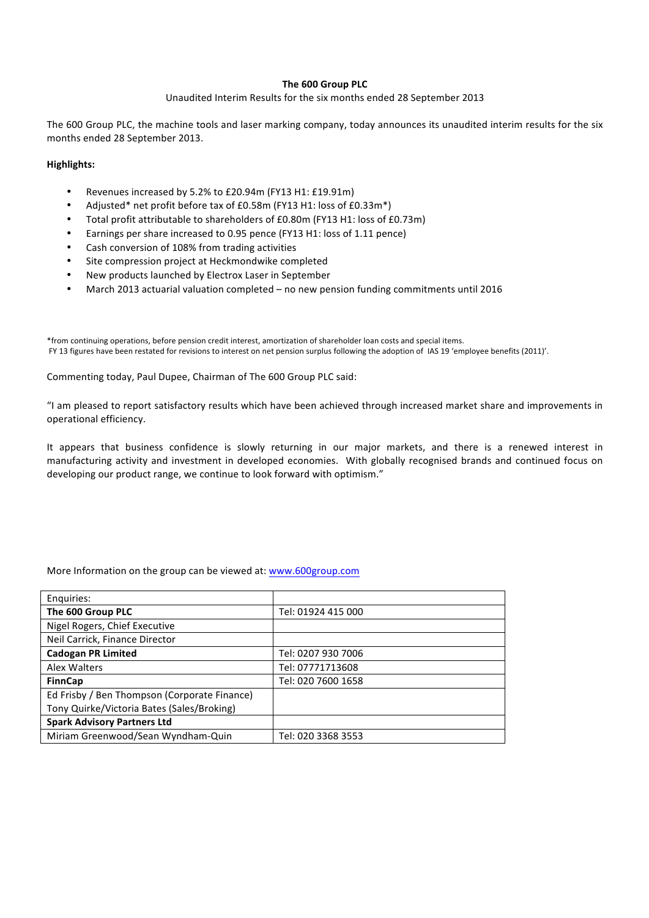# **The 600 Group PLC**

### Unaudited Interim Results for the six months ended 28 September 2013

The 600 Group PLC, the machine tools and laser marking company, today announces its unaudited interim results for the six months ended 28 September 2013.

### **Highlights:**

- Revenues increased by 5.2% to £20.94m (FY13 H1: £19.91m)
- Adjusted\* net profit before tax of £0.58m (FY13 H1: loss of £0.33m\*)
- Total profit attributable to shareholders of £0.80m (FY13 H1: loss of £0.73m)
- Earnings per share increased to 0.95 pence (FY13 H1: loss of 1.11 pence)
- Cash conversion of 108% from trading activities
- Site compression project at Heckmondwike completed
- New products launched by Electrox Laser in September
- March 2013 actuarial valuation completed no new pension funding commitments until 2016

\*from continuing operations, before pension credit interest, amortization of shareholder loan costs and special items. FY 13 figures have been restated for revisions to interest on net pension surplus following the adoption of IAS 19 'employee benefits (2011)'.

Commenting today, Paul Dupee, Chairman of The 600 Group PLC said:

"I am pleased to report satisfactory results which have been achieved through increased market share and improvements in operational efficiency.

It appears that business confidence is slowly returning in our major markets, and there is a renewed interest in manufacturing activity and investment in developed economies. With globally recognised brands and continued focus on developing our product range, we continue to look forward with optimism."

# More Information on the group can be viewed at: www.600group.com

| Enquiries:                                   |                    |
|----------------------------------------------|--------------------|
| The 600 Group PLC                            | Tel: 01924 415 000 |
| Nigel Rogers, Chief Executive                |                    |
| Neil Carrick, Finance Director               |                    |
| <b>Cadogan PR Limited</b>                    | Tel: 0207 930 7006 |
| Alex Walters                                 | Tel: 07771713608   |
| <b>FinnCap</b>                               | Tel: 020 7600 1658 |
| Ed Frisby / Ben Thompson (Corporate Finance) |                    |
| Tony Quirke/Victoria Bates (Sales/Broking)   |                    |
| <b>Spark Advisory Partners Ltd</b>           |                    |
| Miriam Greenwood/Sean Wyndham-Quin           | Tel: 020 3368 3553 |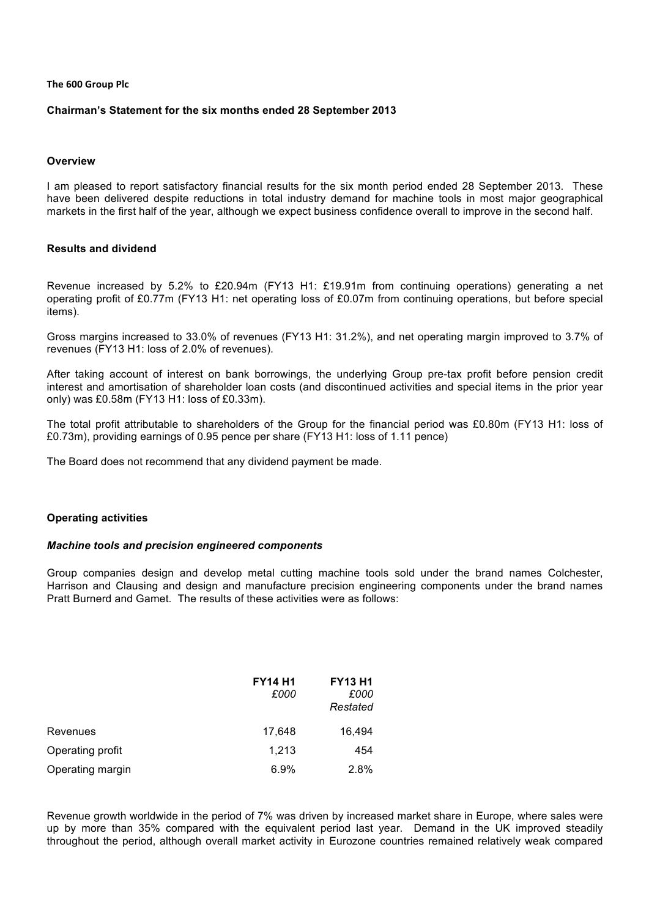### **The 600 Group Plc**

# **Chairman's Statement for the six months ended 28 September 2013**

### **Overview**

I am pleased to report satisfactory financial results for the six month period ended 28 September 2013. These have been delivered despite reductions in total industry demand for machine tools in most major geographical markets in the first half of the year, although we expect business confidence overall to improve in the second half.

# **Results and dividend**

Revenue increased by 5.2% to £20.94m (FY13 H1: £19.91m from continuing operations) generating a net operating profit of £0.77m (FY13 H1: net operating loss of £0.07m from continuing operations, but before special items).

Gross margins increased to 33.0% of revenues (FY13 H1: 31.2%), and net operating margin improved to 3.7% of revenues (FY13 H1: loss of 2.0% of revenues).

After taking account of interest on bank borrowings, the underlying Group pre-tax profit before pension credit interest and amortisation of shareholder loan costs (and discontinued activities and special items in the prior year only) was £0.58m (FY13 H1: loss of £0.33m).

The total profit attributable to shareholders of the Group for the financial period was £0.80m (FY13 H1: loss of £0.73m), providing earnings of 0.95 pence per share (FY13 H1: loss of 1.11 pence)

The Board does not recommend that any dividend payment be made.

# **Operating activities**

### *Machine tools and precision engineered components*

Group companies design and develop metal cutting machine tools sold under the brand names Colchester, Harrison and Clausing and design and manufacture precision engineering components under the brand names Pratt Burnerd and Gamet. The results of these activities were as follows:

|                  | <b>FY14 H1</b><br>£000 | <b>FY13 H1</b><br>£000<br>Restated |
|------------------|------------------------|------------------------------------|
| Revenues         | 17,648                 | 16,494                             |
| Operating profit | 1,213                  | 454                                |
| Operating margin | 6.9%                   | 2.8%                               |

Revenue growth worldwide in the period of 7% was driven by increased market share in Europe, where sales were up by more than 35% compared with the equivalent period last year. Demand in the UK improved steadily throughout the period, although overall market activity in Eurozone countries remained relatively weak compared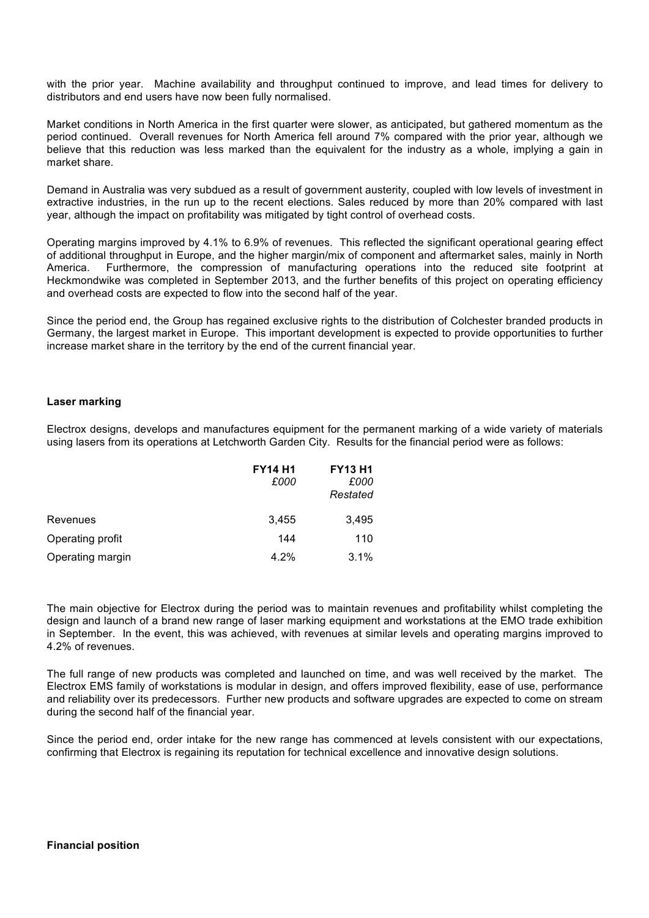with the prior year. Machine availability and throughput continued to improve, and lead times for delivery to distributors and end users have now been fully normalised.

Market conditions in North America in the first quarter were slower, as anticipated, but gathered momentum as the period continued. Overall revenues for North America fell around 7% compared with the prior year, although we believe that this reduction was less marked than the equivalent for the industry as a whole, implying a gain in market share.

Demand in Australia was very subdued as a result of government austerity, coupled with low levels of investment in extractive industries, in the run up to the recent elections. Sales reduced by more than 20% compared with last year, although the impact on profitability was mitigated by tight control of overhead costs.

Operating margins improved by 4.1% to 6.9% of revenues. This reflected the significant operational gearing effect of additional throughput in Europe, and the higher margin/mix of component and aftermarket sales, mainly in North America. Furthermore, the compression of manufacturing operations into the reduced site footprint at Heckmondwike was completed in September 2013, and the further benefits of this project on operating efficiency and overhead costs are expected to flow into the second half of the year.

Since the period end, the Group has regained exclusive rights to the distribution of Colchester branded products in Germany, the largest market in Europe. This important development is expected to provide opportunities to further increase market share in the territory by the end of the current financial year.

# **Laser marking**

Electrox designs, develops and manufactures equipment for the permanent marking of a wide variety of materials using lasers from its operations at Letchworth Garden City. Results for the financial period were as follows:

|                  | <b>FY14 H1</b><br>£000 | <b>FY13 H1</b><br>£000<br>Restated |
|------------------|------------------------|------------------------------------|
| Revenues         | 3,455                  | 3,495                              |
| Operating profit | 144                    | 110                                |
| Operating margin | 4.2%                   | 3.1%                               |

The main objective for Electrox during the period was to maintain revenues and profitability whilst completing the design and launch of a brand new range of laser marking equipment and workstations at the EMO trade exhibition in September. In the event, this was achieved, with revenues at similar levels and operating margins improved to 4.2% of revenues.

The full range of new products was completed and launched on time, and was well received by the market. The Electrox EMS family of workstations is modular in design, and offers improved flexibility, ease of use, performance and reliability over its predecessors. Further new products and software upgrades are expected to come on stream during the second half of the financial year.

Since the period end, order intake for the new range has commenced at levels consistent with our expectations, confirming that Electrox is regaining its reputation for technical excellence and innovative design solutions.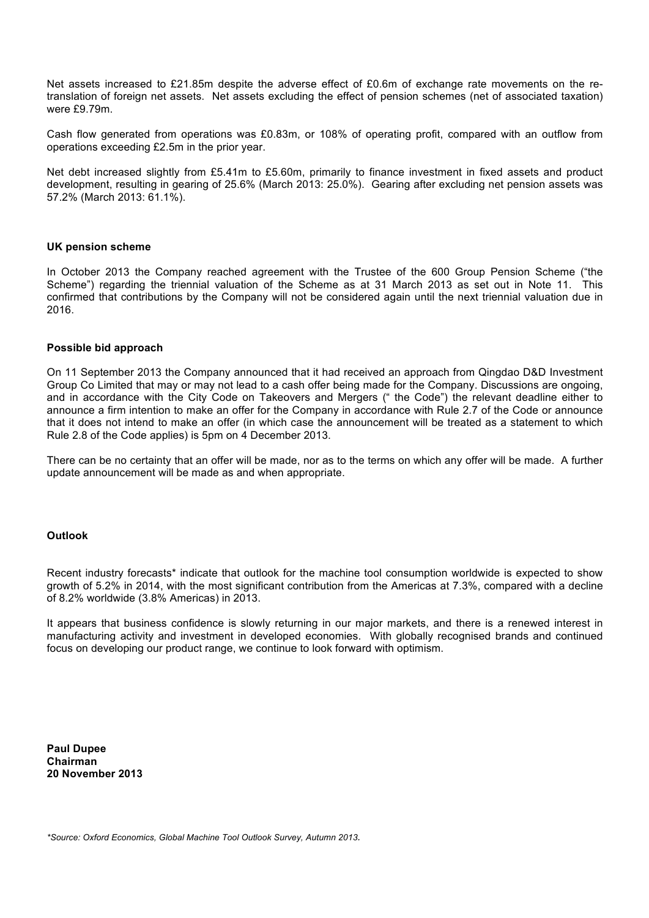Net assets increased to £21.85m despite the adverse effect of £0.6m of exchange rate movements on the retranslation of foreign net assets. Net assets excluding the effect of pension schemes (net of associated taxation) were £9.79m.

Cash flow generated from operations was £0.83m, or 108% of operating profit, compared with an outflow from operations exceeding £2.5m in the prior year.

Net debt increased slightly from £5.41m to £5.60m, primarily to finance investment in fixed assets and product development, resulting in gearing of 25.6% (March 2013: 25.0%). Gearing after excluding net pension assets was 57.2% (March 2013: 61.1%).

# **UK pension scheme**

In October 2013 the Company reached agreement with the Trustee of the 600 Group Pension Scheme ("the Scheme") regarding the triennial valuation of the Scheme as at 31 March 2013 as set out in Note 11. This confirmed that contributions by the Company will not be considered again until the next triennial valuation due in 2016.

### **Possible bid approach**

On 11 September 2013 the Company announced that it had received an approach from Qingdao D&D Investment Group Co Limited that may or may not lead to a cash offer being made for the Company. Discussions are ongoing, and in accordance with the City Code on Takeovers and Mergers (" the Code") the relevant deadline either to announce a firm intention to make an offer for the Company in accordance with Rule 2.7 of the Code or announce that it does not intend to make an offer (in which case the announcement will be treated as a statement to which Rule 2.8 of the Code applies) is 5pm on 4 December 2013.

There can be no certainty that an offer will be made, nor as to the terms on which any offer will be made. A further update announcement will be made as and when appropriate.

### **Outlook**

Recent industry forecasts<sup>\*</sup> indicate that outlook for the machine tool consumption worldwide is expected to show growth of 5.2% in 2014, with the most significant contribution from the Americas at 7.3%, compared with a decline of 8.2% worldwide (3.8% Americas) in 2013.

It appears that business confidence is slowly returning in our major markets, and there is a renewed interest in manufacturing activity and investment in developed economies. With globally recognised brands and continued focus on developing our product range, we continue to look forward with optimism.

**Paul Dupee Chairman 20 November 2013**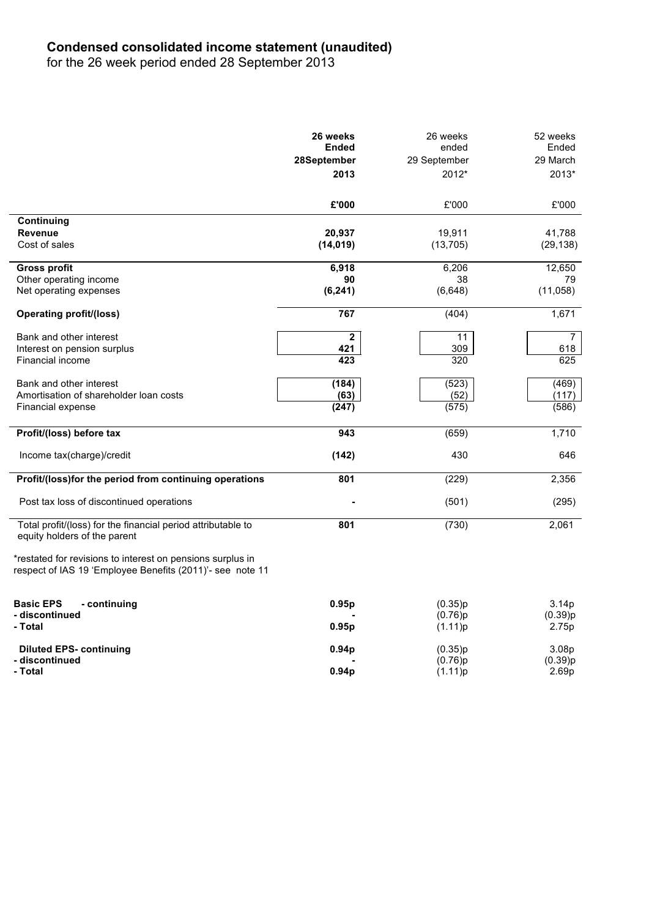# **Condensed consolidated income statement (unaudited)**

for the 26 week period ended 28 September 2013

|                                                                                                                         | 26 weeks<br><b>Ended</b> | 26 weeks<br>ended | 52 weeks<br>Ended |
|-------------------------------------------------------------------------------------------------------------------------|--------------------------|-------------------|-------------------|
|                                                                                                                         | 28September              | 29 September      | 29 March          |
|                                                                                                                         | 2013                     | 2012*             | 2013*             |
|                                                                                                                         |                          |                   |                   |
|                                                                                                                         | £'000                    | £'000             | £'000             |
| Continuing                                                                                                              |                          |                   |                   |
| <b>Revenue</b>                                                                                                          | 20,937                   | 19,911            | 41,788            |
| Cost of sales                                                                                                           | (14, 019)                | (13, 705)         | (29, 138)         |
| <b>Gross profit</b>                                                                                                     | 6,918                    | 6,206             | 12,650            |
| Other operating income                                                                                                  | 90                       | 38                | 79                |
| Net operating expenses                                                                                                  | (6, 241)                 | (6,648)           | (11,058)          |
| <b>Operating profit/(loss)</b>                                                                                          | 767                      | (404)             | 1,671             |
| Bank and other interest                                                                                                 | $\mathbf{2}$             | 11                | $\overline{7}$    |
| Interest on pension surplus                                                                                             | 421                      | 309               | 618               |
| Financial income                                                                                                        | $\overline{423}$         | 320               | 625               |
| Bank and other interest                                                                                                 | (184)                    | (523)             | (469)             |
| Amortisation of shareholder loan costs                                                                                  | (63)                     | (52)              | (117)             |
| Financial expense                                                                                                       | (247)                    | (575)             | (586)             |
| Profit/(loss) before tax                                                                                                | 943                      | (659)             | 1,710             |
| Income tax(charge)/credit                                                                                               | (142)                    | 430               | 646               |
| Profit/(loss)for the period from continuing operations                                                                  | 801                      | (229)             | 2,356             |
| Post tax loss of discontinued operations                                                                                |                          | (501)             | (295)             |
| Total profit/(loss) for the financial period attributable to<br>equity holders of the parent                            | 801                      | (730)             | 2,061             |
| *restated for revisions to interest on pensions surplus in<br>respect of IAS 19 'Employee Benefits (2011)'- see note 11 |                          |                   |                   |
|                                                                                                                         |                          |                   |                   |
| <b>Basic EPS</b><br>- continuing                                                                                        | 0.95p                    | (0.35)p           | 3.14p             |
| - discontinued                                                                                                          |                          | (0.76)p           | (0.39)p           |
| - Total                                                                                                                 | 0.95p                    | (1.11)p           | 2.75p             |
| <b>Diluted EPS- continuing</b>                                                                                          | 0.94p                    | (0.35)p           | 3.08 <sub>p</sub> |
| - discontinued                                                                                                          |                          | (0.76)p           | (0.39)p           |
| - Total                                                                                                                 | 0.94 <sub>D</sub>        | (1.11)p           | 2.69 <sub>p</sub> |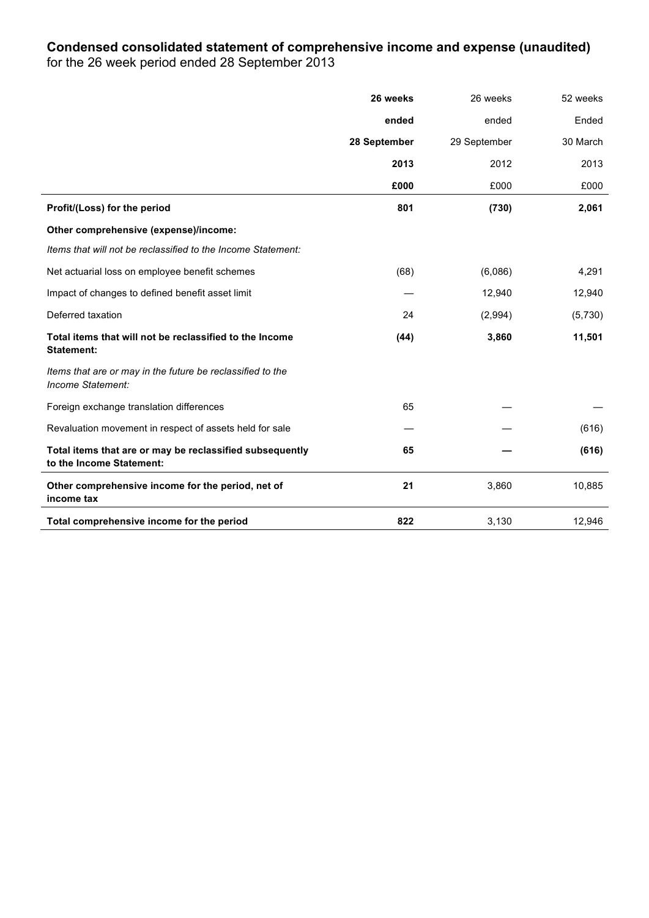# **Condensed consolidated statement of comprehensive income and expense (unaudited)**

for the 26 week period ended 28 September 2013

|                                                                                      | 26 weeks     | 26 weeks     | 52 weeks |
|--------------------------------------------------------------------------------------|--------------|--------------|----------|
|                                                                                      | ended        | ended        | Ended    |
|                                                                                      | 28 September | 29 September | 30 March |
|                                                                                      | 2013         | 2012         | 2013     |
|                                                                                      | £000         | £000         | £000     |
| Profit/(Loss) for the period                                                         | 801          | (730)        | 2,061    |
| Other comprehensive (expense)/income:                                                |              |              |          |
| Items that will not be reclassified to the Income Statement:                         |              |              |          |
| Net actuarial loss on employee benefit schemes                                       | (68)         | (6,086)      | 4,291    |
| Impact of changes to defined benefit asset limit                                     |              | 12,940       | 12,940   |
| Deferred taxation                                                                    | 24           | (2,994)      | (5,730)  |
| Total items that will not be reclassified to the Income<br><b>Statement:</b>         | (44)         | 3,860        | 11,501   |
| Items that are or may in the future be reclassified to the<br>Income Statement:      |              |              |          |
| Foreign exchange translation differences                                             | 65           |              |          |
| Revaluation movement in respect of assets held for sale                              |              |              | (616)    |
| Total items that are or may be reclassified subsequently<br>to the Income Statement: | 65           |              | (616)    |
| Other comprehensive income for the period, net of<br>income tax                      | 21           | 3,860        | 10,885   |
| Total comprehensive income for the period                                            | 822          | 3,130        | 12,946   |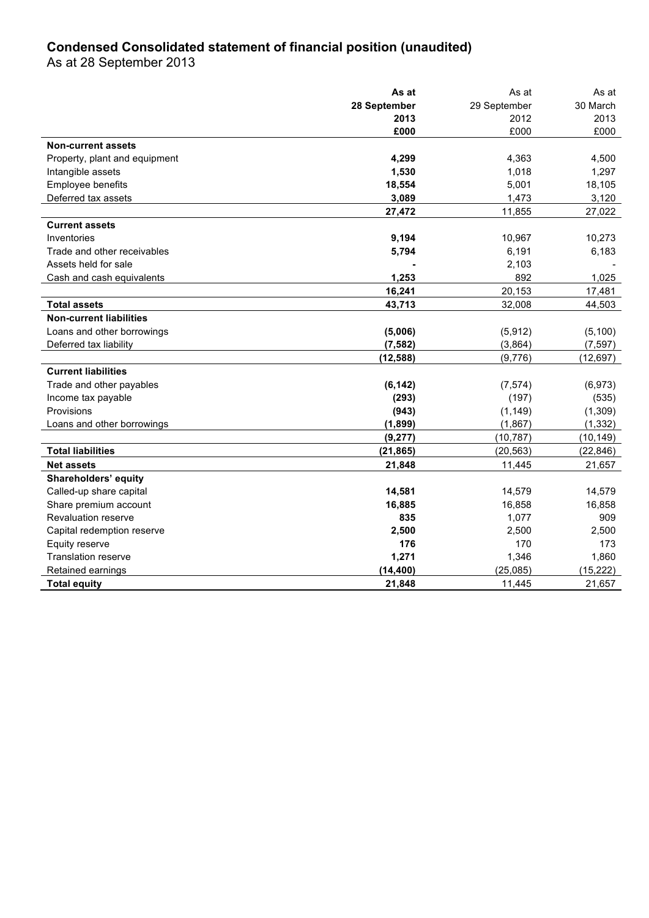# **Condensed Consolidated statement of financial position (unaudited)**

As at 28 September 2013

|                                | As at        | As at        | As at     |
|--------------------------------|--------------|--------------|-----------|
|                                | 28 September | 29 September | 30 March  |
|                                | 2013         | 2012         | 2013      |
|                                | £000         | £000         | £000      |
| <b>Non-current assets</b>      |              |              |           |
| Property, plant and equipment  | 4,299        | 4,363        | 4,500     |
| Intangible assets              | 1,530        | 1,018        | 1,297     |
| Employee benefits              | 18,554       | 5,001        | 18,105    |
| Deferred tax assets            | 3,089        | 1,473        | 3,120     |
|                                | 27,472       | 11.855       | 27,022    |
| <b>Current assets</b>          |              |              |           |
| Inventories                    | 9,194        | 10,967       | 10,273    |
| Trade and other receivables    | 5,794        | 6,191        | 6,183     |
| Assets held for sale           |              | 2,103        |           |
| Cash and cash equivalents      | 1,253        | 892          | 1,025     |
|                                | 16,241       | 20,153       | 17,481    |
| <b>Total assets</b>            | 43,713       | 32,008       | 44,503    |
| <b>Non-current liabilities</b> |              |              |           |
| Loans and other borrowings     | (5,006)      | (5,912)      | (5,100)   |
| Deferred tax liability         | (7, 582)     | (3,864)      | (7, 597)  |
|                                | (12, 588)    | (9,776)      | (12, 697) |
| <b>Current liabilities</b>     |              |              |           |
| Trade and other payables       | (6, 142)     | (7, 574)     | (6,973)   |
| Income tax payable             | (293)        | (197)        | (535)     |
| Provisions                     | (943)        | (1, 149)     | (1, 309)  |
| Loans and other borrowings     | (1,899)      | (1,867)      | (1, 332)  |
|                                | (9, 277)     | (10, 787)    | (10, 149) |
| <b>Total liabilities</b>       | (21, 865)    | (20, 563)    | (22, 846) |
| <b>Net assets</b>              | 21,848       | 11,445       | 21,657    |
| Shareholders' equity           |              |              |           |
| Called-up share capital        | 14,581       | 14,579       | 14,579    |
| Share premium account          | 16,885       | 16,858       | 16,858    |
| Revaluation reserve            | 835          | 1,077        | 909       |
| Capital redemption reserve     | 2,500        | 2,500        | 2,500     |
| Equity reserve                 | 176          | 170          | 173       |
| <b>Translation reserve</b>     | 1,271        | 1,346        | 1,860     |
| Retained earnings              | (14, 400)    | (25,085)     | (15, 222) |
| <b>Total equity</b>            | 21,848       | 11,445       | 21,657    |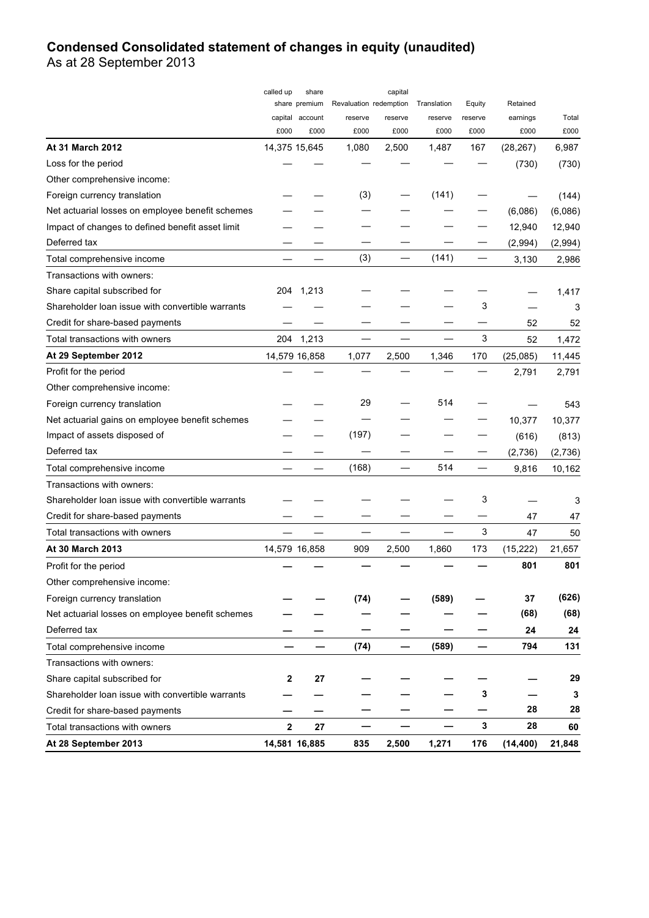# **Condensed Consolidated statement of changes in equity (unaudited)**

As at 28 September 2013

|                                                  | called up   | share                 |                        | capital       |               |             |           |               |
|--------------------------------------------------|-------------|-----------------------|------------------------|---------------|---------------|-------------|-----------|---------------|
|                                                  |             | share premium         | Revaluation redemption |               | Translation   | Equity      | Retained  |               |
|                                                  |             | capital account       | reserve                | reserve       | reserve       | reserve     | earnings  | Total         |
| At 31 March 2012                                 | £000        | £000<br>14,375 15,645 | £000<br>1,080          | £000<br>2,500 | £000<br>1,487 | £000<br>167 | £000      | £000<br>6,987 |
|                                                  |             |                       |                        |               |               |             | (28, 267) |               |
| Loss for the period                              |             |                       |                        |               |               |             | (730)     | (730)         |
| Other comprehensive income:                      |             |                       |                        |               |               |             |           |               |
| Foreign currency translation                     |             |                       | (3)                    |               | (141)         |             |           | (144)         |
| Net actuarial losses on employee benefit schemes |             |                       |                        |               |               |             | (6,086)   | (6,086)       |
| Impact of changes to defined benefit asset limit |             |                       |                        |               |               |             | 12,940    | 12,940        |
| Deferred tax                                     |             |                       |                        |               |               |             | (2,994)   | (2,994)       |
| Total comprehensive income                       |             |                       | (3)                    |               | (141)         |             | 3,130     | 2,986         |
| Transactions with owners:                        |             |                       |                        |               |               |             |           |               |
| Share capital subscribed for                     | 204         | 1,213                 |                        |               |               |             |           | 1,417         |
| Shareholder loan issue with convertible warrants |             |                       |                        |               |               | 3           |           | 3             |
| Credit for share-based payments                  |             |                       |                        |               |               |             | 52        | 52            |
| Total transactions with owners                   |             | 204 1,213             |                        |               |               | 3           | 52        | 1,472         |
| At 29 September 2012                             |             | 14,579 16,858         | 1,077                  | 2,500         | 1,346         | 170         | (25,085)  | 11,445        |
| Profit for the period                            |             |                       |                        |               |               |             | 2,791     | 2,791         |
| Other comprehensive income:                      |             |                       |                        |               |               |             |           |               |
| Foreign currency translation                     |             |                       | 29                     |               | 514           |             |           | 543           |
| Net actuarial gains on employee benefit schemes  |             |                       |                        |               |               |             | 10,377    | 10,377        |
| Impact of assets disposed of                     |             |                       | (197)                  |               |               |             | (616)     | (813)         |
| Deferred tax                                     |             |                       |                        |               |               |             | (2,736)   | (2,736)       |
| Total comprehensive income                       |             |                       | (168)                  |               | 514           |             | 9,816     | 10,162        |
| Transactions with owners:                        |             |                       |                        |               |               |             |           |               |
| Shareholder loan issue with convertible warrants |             |                       |                        |               |               | 3           |           | 3             |
| Credit for share-based payments                  |             |                       |                        |               |               |             | 47        | 47            |
| Total transactions with owners                   |             |                       |                        |               |               | 3           | 47        | 50            |
| At 30 March 2013                                 |             | 14,579 16,858         | 909                    | 2,500         | 1,860         | 173         | (15, 222) | 21,657        |
| Profit for the period                            |             |                       |                        |               |               |             | 801       | 801           |
| Other comprehensive income:                      |             |                       |                        |               |               |             |           |               |
| Foreign currency translation                     |             |                       | (74)                   |               | (589)         |             | 37        | (626)         |
| Net actuarial losses on employee benefit schemes |             |                       |                        |               |               |             | (68)      | (68)          |
| Deferred tax                                     |             |                       |                        |               |               |             | 24        | 24            |
| Total comprehensive income                       |             |                       | (74)                   | -             | (589)         |             | 794       | 131           |
| Transactions with owners:                        |             |                       |                        |               |               |             |           |               |
| Share capital subscribed for                     | 2           | 27                    |                        |               |               |             |           | 29            |
| Shareholder loan issue with convertible warrants |             |                       |                        |               |               | 3           |           | 3             |
| Credit for share-based payments                  |             |                       |                        |               |               |             | 28        | 28            |
| Total transactions with owners                   | $\mathbf 2$ | 27                    |                        |               |               | 3           | 28        | 60            |
| At 28 September 2013                             |             | 14,581 16,885         | 835                    | 2,500         | 1,271         | 176         | (14, 400) | 21,848        |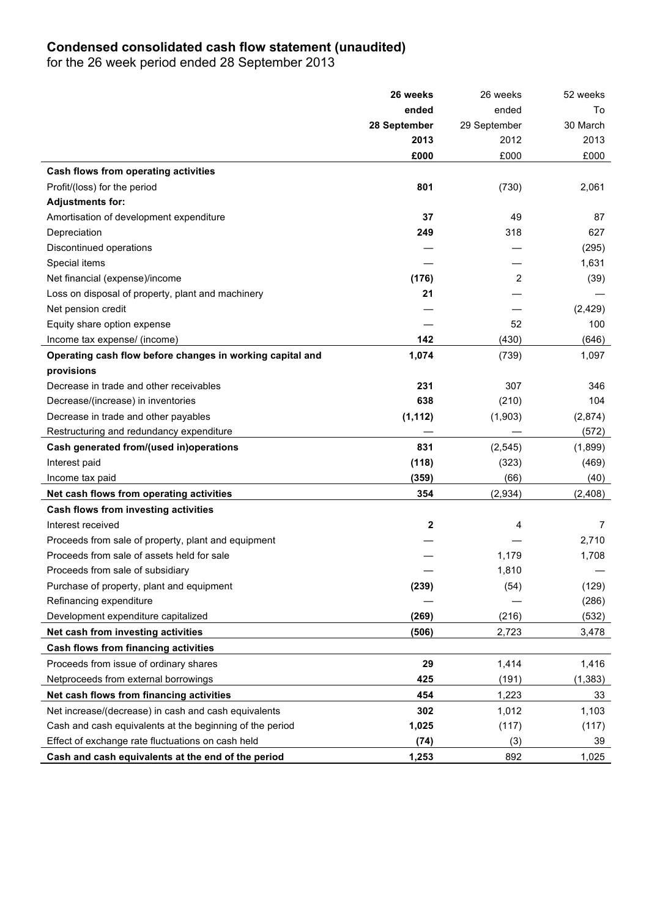# **Condensed consolidated cash flow statement (unaudited)**

for the 26 week period ended 28 September 2013

|                                                           | 26 weeks     | 26 weeks     | 52 weeks |
|-----------------------------------------------------------|--------------|--------------|----------|
|                                                           | ended        | ended        | To       |
|                                                           | 28 September | 29 September | 30 March |
|                                                           | 2013         | 2012         | 2013     |
|                                                           | £000         | £000         | £000     |
| Cash flows from operating activities                      |              |              |          |
| Profit/(loss) for the period                              | 801          | (730)        | 2,061    |
| <b>Adjustments for:</b>                                   |              |              |          |
| Amortisation of development expenditure                   | 37           | 49           | 87       |
| Depreciation                                              | 249          | 318          | 627      |
| Discontinued operations                                   |              |              | (295)    |
| Special items                                             |              |              | 1,631    |
| Net financial (expense)/income                            | (176)        | 2            | (39)     |
| Loss on disposal of property, plant and machinery         | 21           |              |          |
| Net pension credit                                        |              |              | (2, 429) |
| Equity share option expense                               |              | 52           | 100      |
| Income tax expense/ (income)                              | 142          | (430)        | (646)    |
| Operating cash flow before changes in working capital and | 1,074        | (739)        | 1,097    |
| provisions                                                |              |              |          |
| Decrease in trade and other receivables                   | 231          | 307          | 346      |
| Decrease/(increase) in inventories                        | 638          | (210)        | 104      |
| Decrease in trade and other payables                      | (1, 112)     | (1,903)      | (2,874)  |
| Restructuring and redundancy expenditure                  |              |              | (572)    |
| Cash generated from/(used in)operations                   | 831          | (2, 545)     | (1,899)  |
| Interest paid                                             | (118)        | (323)        | (469)    |
| Income tax paid                                           | (359)        | (66)         | (40)     |
| Net cash flows from operating activities                  | 354          | (2,934)      | (2,408)  |
| Cash flows from investing activities                      |              |              |          |
| Interest received                                         | 2            | 4            | 7        |
| Proceeds from sale of property, plant and equipment       |              |              | 2,710    |
| Proceeds from sale of assets held for sale                |              | 1,179        | 1,708    |
| Proceeds from sale of subsidiary                          |              | 1,810        |          |
| Purchase of property, plant and equipment                 | (239)        | (54)         | (129)    |
| Refinancing expenditure                                   |              |              | (286)    |
| Development expenditure capitalized                       | (269)        | (216)        | (532)    |
| Net cash from investing activities                        | (506)        | 2,723        | 3,478    |
| Cash flows from financing activities                      |              |              |          |
| Proceeds from issue of ordinary shares                    | 29           | 1,414        | 1,416    |
| Netproceeds from external borrowings                      | 425          | (191)        | (1, 383) |
| Net cash flows from financing activities                  | 454          | 1,223        | 33       |
| Net increase/(decrease) in cash and cash equivalents      | 302          | 1,012        | 1,103    |
| Cash and cash equivalents at the beginning of the period  | 1,025        | (117)        | (117)    |
| Effect of exchange rate fluctuations on cash held         | (74)         | (3)          | 39       |
| Cash and cash equivalents at the end of the period        | 1,253        | 892          | 1,025    |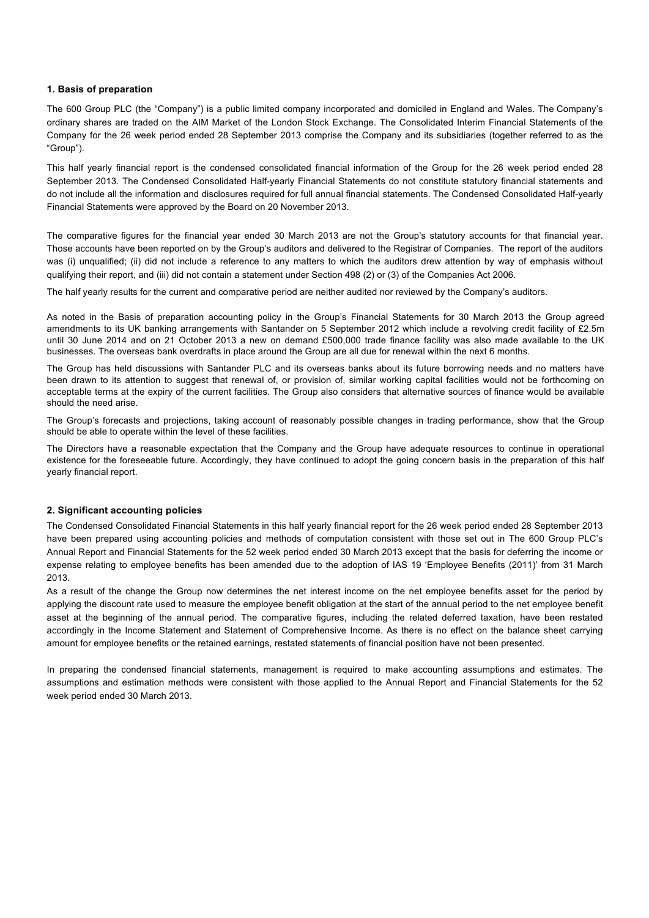#### **1. Basis of preparation**

The 600 Group PLC (the "Company") is a public limited company incorporated and domiciled in England and Wales. The Company's ordinary shares are traded on the AIM Market of the London Stock Exchange. The Consolidated Interim Financial Statements of the Company for the 26 week period ended 28 September 2013 comprise the Company and its subsidiaries (together referred to as the "Group").

This half yearly financial report is the condensed consolidated financial information of the Group for the 26 week period ended 28 September 2013. The Condensed Consolidated Half-yearly Financial Statements do not constitute statutory financial statements and do not include all the information and disclosures required for full annual financial statements. The Condensed Consolidated Half-yearly Financial Statements were approved by the Board on 20 November 2013.

The comparative figures for the financial year ended 30 March 2013 are not the Group's statutory accounts for that financial year. Those accounts have been reported on by the Group's auditors and delivered to the Registrar of Companies. The report of the auditors was (i) unqualified; (ii) did not include a reference to any matters to which the auditors drew attention by way of emphasis without qualifying their report, and (iii) did not contain a statement under Section 498 (2) or (3) of the Companies Act 2006.

The half yearly results for the current and comparative period are neither audited nor reviewed by the Company's auditors.

As noted in the Basis of preparation accounting policy in the Group's Financial Statements for 30 March 2013 the Group agreed amendments to its UK banking arrangements with Santander on 5 September 2012 which include a revolving credit facility of £2.5m until 30 June 2014 and on 21 October 2013 a new on demand £500,000 trade finance facility was also made available to the UK businesses. The overseas bank overdrafts in place around the Group are all due for renewal within the next 6 months.

The Group has held discussions with Santander PLC and its overseas banks about its future borrowing needs and no matters have been drawn to its attention to suggest that renewal of, or provision of, similar working capital facilities would not be forthcoming on acceptable terms at the expiry of the current facilities. The Group also considers that alternative sources of finance would be available should the need arise.

The Group's forecasts and projections, taking account of reasonably possible changes in trading performance, show that the Group should be able to operate within the level of these facilities.

The Directors have a reasonable expectation that the Company and the Group have adequate resources to continue in operational existence for the foreseeable future. Accordingly, they have continued to adopt the going concern basis in the preparation of this half yearly financial report.

### **2. Significant accounting policies**

The Condensed Consolidated Financial Statements in this half yearly financial report for the 26 week period ended 28 September 2013 have been prepared using accounting policies and methods of computation consistent with those set out in The 600 Group PLC's Annual Report and Financial Statements for the 52 week period ended 30 March 2013 except that the basis for deferring the income or expense relating to employee benefits has been amended due to the adoption of IAS 19 'Employee Benefits (2011)' from 31 March 2013.

As a result of the change the Group now determines the net interest income on the net employee benefits asset for the period by applying the discount rate used to measure the employee benefit obligation at the start of the annual period to the net employee benefit asset at the beginning of the annual period. The comparative figures, including the related deferred taxation, have been restated accordingly in the Income Statement and Statement of Comprehensive Income. As there is no effect on the balance sheet carrying amount for employee benefits or the retained earnings, restated statements of financial position have not been presented.

In preparing the condensed financial statements, management is required to make accounting assumptions and estimates. The assumptions and estimation methods were consistent with those applied to the Annual Report and Financial Statements for the 52 week period ended 30 March 2013.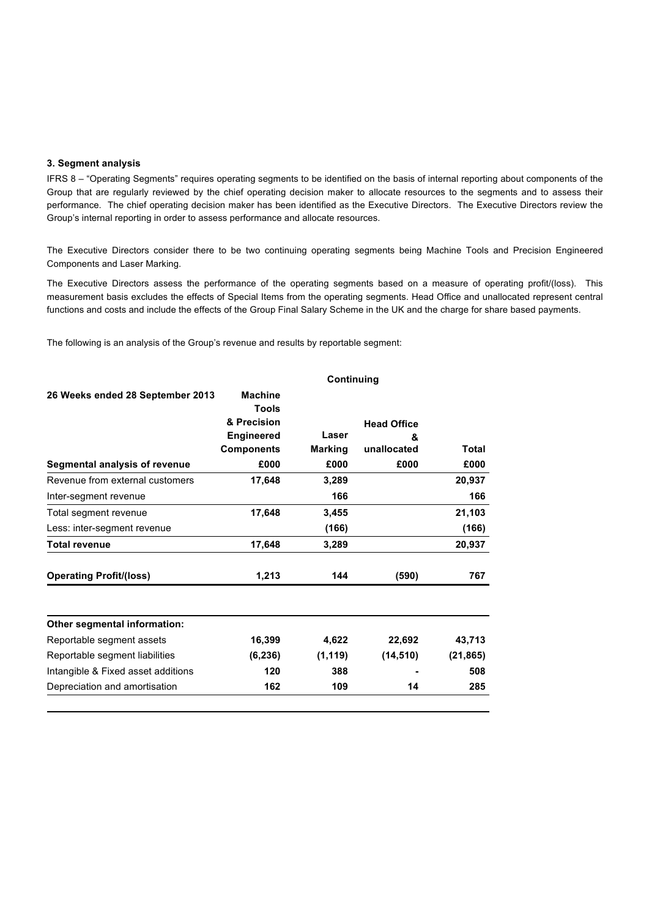### **3. Segment analysis**

IFRS 8 – "Operating Segments" requires operating segments to be identified on the basis of internal reporting about components of the Group that are regularly reviewed by the chief operating decision maker to allocate resources to the segments and to assess their performance. The chief operating decision maker has been identified as the Executive Directors. The Executive Directors review the Group's internal reporting in order to assess performance and allocate resources.

The Executive Directors consider there to be two continuing operating segments being Machine Tools and Precision Engineered Components and Laser Marking.

The Executive Directors assess the performance of the operating segments based on a measure of operating profit/(loss). This measurement basis excludes the effects of Special Items from the operating segments. Head Office and unallocated represent central functions and costs and include the effects of the Group Final Salary Scheme in the UK and the charge for share based payments.

The following is an analysis of the Group's revenue and results by reportable segment:

|                                    | Continuing                     |                |                    |           |  |  |  |
|------------------------------------|--------------------------------|----------------|--------------------|-----------|--|--|--|
| 26 Weeks ended 28 September 2013   | <b>Machine</b><br><b>Tools</b> |                |                    |           |  |  |  |
|                                    | & Precision                    |                | <b>Head Office</b> |           |  |  |  |
|                                    | <b>Engineered</b>              | Laser          | &                  |           |  |  |  |
|                                    | <b>Components</b>              | <b>Marking</b> | unallocated        | Total     |  |  |  |
| Segmental analysis of revenue      | £000                           | £000           | £000               | £000      |  |  |  |
| Revenue from external customers    | 17,648                         | 3,289          |                    | 20,937    |  |  |  |
| Inter-segment revenue              |                                | 166            |                    | 166       |  |  |  |
| Total segment revenue              | 17,648                         | 3,455          |                    | 21,103    |  |  |  |
| Less: inter-segment revenue        |                                | (166)          |                    | (166)     |  |  |  |
| Total revenue                      | 17.648                         | 3,289          |                    | 20,937    |  |  |  |
| <b>Operating Profit/(loss)</b>     | 1,213                          | 144            | (590)              | 767       |  |  |  |
| Other segmental information:       |                                |                |                    |           |  |  |  |
| Reportable segment assets          | 16,399                         | 4,622          | 22,692             | 43,713    |  |  |  |
| Reportable segment liabilities     | (6, 236)                       | (1, 119)       | (14, 510)          | (21, 865) |  |  |  |
| Intangible & Fixed asset additions | 120                            | 388            |                    | 508       |  |  |  |
| Depreciation and amortisation      | 162                            | 109            | 14                 | 285       |  |  |  |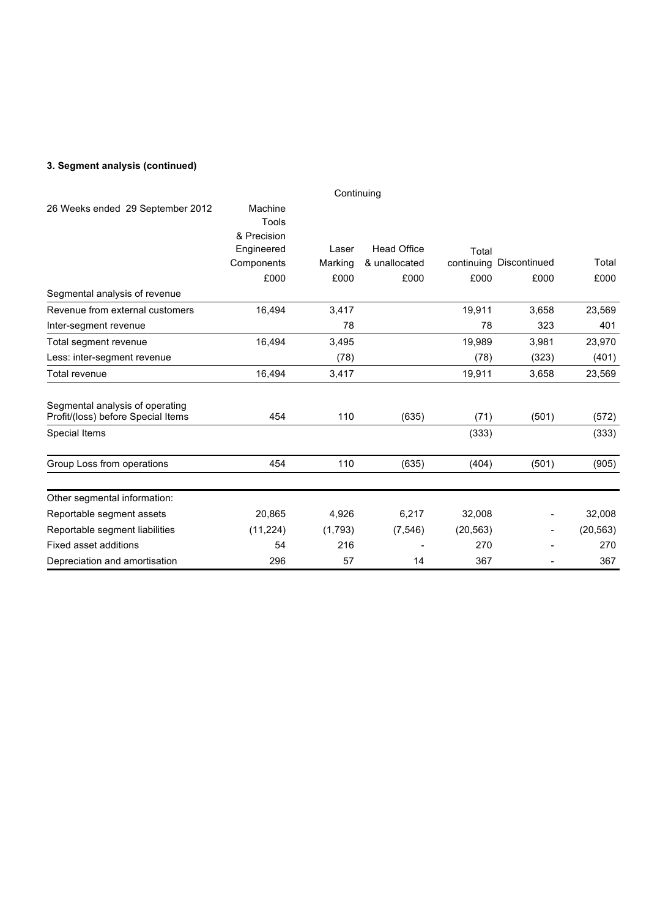# **3. Segment analysis (continued)**

|                                                                       |                                               | Continuing      |                       |           |                                 |               |
|-----------------------------------------------------------------------|-----------------------------------------------|-----------------|-----------------------|-----------|---------------------------------|---------------|
| 26 Weeks ended 29 September 2012                                      | Machine<br>Tools<br>& Precision<br>Engineered | Laser           | <b>Head Office</b>    | Total     |                                 |               |
|                                                                       | Components<br>£000                            | Marking<br>£000 | & unallocated<br>£000 | £000      | continuing Discontinued<br>£000 | Total<br>£000 |
| Segmental analysis of revenue                                         |                                               |                 |                       |           |                                 |               |
| Revenue from external customers                                       | 16,494                                        | 3,417           |                       | 19,911    | 3,658                           | 23,569        |
| Inter-segment revenue                                                 |                                               | 78              |                       | 78        | 323                             | 401           |
| Total segment revenue                                                 | 16,494                                        | 3,495           |                       | 19,989    | 3,981                           | 23,970        |
| Less: inter-segment revenue                                           |                                               | (78)            |                       | (78)      | (323)                           | (401)         |
| Total revenue                                                         | 16,494                                        | 3,417           |                       | 19,911    | 3,658                           | 23,569        |
| Segmental analysis of operating<br>Profit/(loss) before Special Items | 454                                           | 110             | (635)                 | (71)      | (501)                           | (572)         |
| Special Items                                                         |                                               |                 |                       | (333)     |                                 | (333)         |
| Group Loss from operations                                            | 454                                           | 110             | (635)                 | (404)     | (501)                           | (905)         |
| Other segmental information:                                          |                                               |                 |                       |           |                                 |               |
| Reportable segment assets                                             | 20,865                                        | 4,926           | 6,217                 | 32,008    |                                 | 32,008        |
| Reportable segment liabilities                                        | (11, 224)                                     | (1,793)         | (7, 546)              | (20, 563) |                                 | (20, 563)     |
| Fixed asset additions                                                 | 54                                            | 216             |                       | 270       |                                 | 270           |
| Depreciation and amortisation                                         | 296                                           | 57              | 14                    | 367       |                                 | 367           |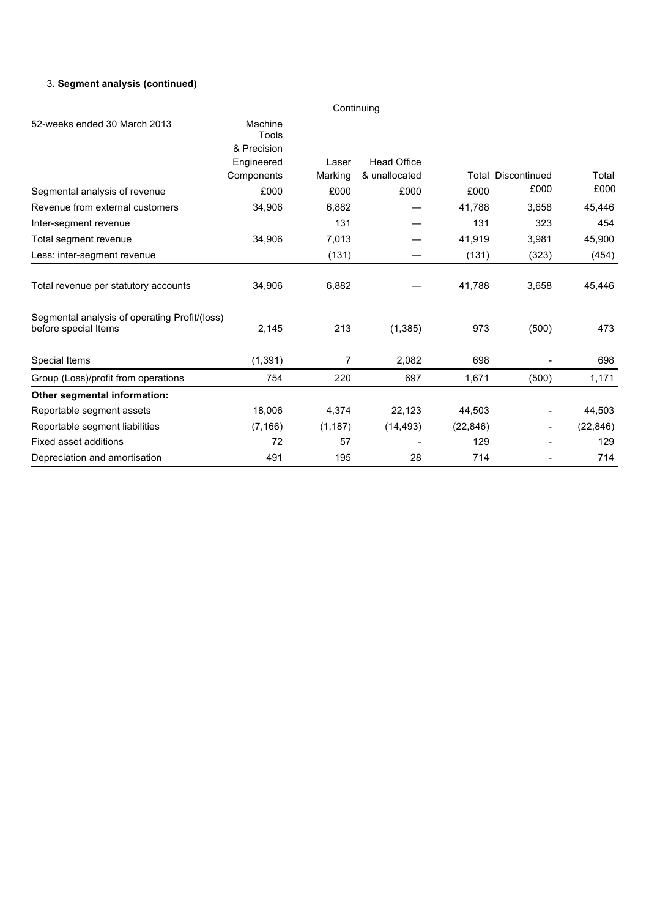# 3**. Segment analysis (continued)**

|                                               |                                 | Continuing |                    |           |                           |           |
|-----------------------------------------------|---------------------------------|------------|--------------------|-----------|---------------------------|-----------|
| 52-weeks ended 30 March 2013                  | Machine<br>Tools<br>& Precision |            |                    |           |                           |           |
|                                               | Engineered                      | Laser      | <b>Head Office</b> |           |                           |           |
|                                               | Components                      | Marking    | & unallocated      |           | <b>Total Discontinued</b> | Total     |
| Segmental analysis of revenue                 | £000                            | £000       | £000               | £000      | £000                      | £000      |
| Revenue from external customers               | 34,906                          | 6,882      |                    | 41,788    | 3,658                     | 45,446    |
| Inter-segment revenue                         |                                 | 131        |                    | 131       | 323                       | 454       |
| Total segment revenue                         | 34,906                          | 7,013      |                    | 41,919    | 3,981                     | 45,900    |
| Less: inter-segment revenue                   |                                 | (131)      |                    | (131)     | (323)                     | (454)     |
| Total revenue per statutory accounts          | 34,906                          | 6,882      |                    | 41,788    | 3,658                     | 45,446    |
| Segmental analysis of operating Profit/(loss) |                                 |            |                    |           |                           |           |
| before special Items                          | 2,145                           | 213        | (1,385)            | 973       | (500)                     | 473       |
| Special Items                                 | (1, 391)                        | 7          | 2,082              | 698       |                           | 698       |
| Group (Loss)/profit from operations           | 754                             | 220        | 697                | 1,671     | (500)                     | 1,171     |
| Other segmental information:                  |                                 |            |                    |           |                           |           |
| Reportable segment assets                     | 18,006                          | 4,374      | 22,123             | 44,503    | $\overline{\phantom{0}}$  | 44,503    |
| Reportable segment liabilities                | (7, 166)                        | (1, 187)   | (14, 493)          | (22, 846) | ۰.                        | (22, 846) |
| Fixed asset additions                         | 72                              | 57         |                    | 129       |                           | 129       |
| Depreciation and amortisation                 | 491                             | 195        | 28                 | 714       |                           | 714       |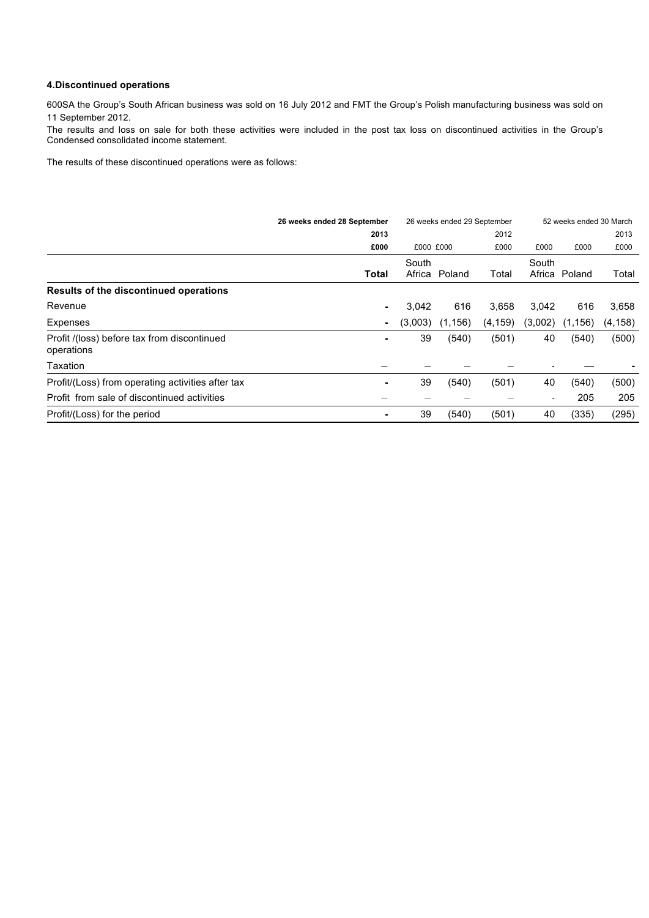### **4.Discontinued operations**

600SA the Group's South African business was sold on 16 July 2012 and FMT the Group's Polish manufacturing business was sold on 11 September 2012.

The results and loss on sale for both these activities were included in the post tax loss on discontinued activities in the Group's Condensed consolidated income statement.

The results of these discontinued operations were as follows:

|                                                           | 26 weeks ended 28 September<br>26 weeks ended 29 September |           |          |          | 52 weeks ended 30 March  |          |          |  |
|-----------------------------------------------------------|------------------------------------------------------------|-----------|----------|----------|--------------------------|----------|----------|--|
|                                                           | 2013                                                       |           |          | 2012     |                          |          | 2013     |  |
|                                                           | £000                                                       | £000 £000 |          | £000     | £000                     | £000     | £000     |  |
|                                                           |                                                            | South     |          |          | South                    |          |          |  |
|                                                           | Total                                                      | Africa    | Poland   | Total    | Africa                   | Poland   | Total    |  |
| Results of the discontinued operations                    |                                                            |           |          |          |                          |          |          |  |
| Revenue                                                   | $\blacksquare$                                             | 3,042     | 616      | 3,658    | 3,042                    | 616      | 3,658    |  |
| Expenses                                                  |                                                            | (3,003)   | (1, 156) | (4, 159) | (3,002)                  | (1, 156) | (4, 158) |  |
| Profit /(loss) before tax from discontinued<br>operations |                                                            | 39        | (540)    | (501)    | 40                       | (540)    | (500)    |  |
| Taxation                                                  |                                                            |           |          |          |                          |          |          |  |
| Profit/(Loss) from operating activities after tax         |                                                            | 39        | (540)    | (501)    | 40                       | (540)    | (500)    |  |
| Profit from sale of discontinued activities               |                                                            |           |          |          | $\overline{\phantom{a}}$ | 205      | 205      |  |
| Profit/(Loss) for the period                              |                                                            | 39        | (540)    | (501)    | 40                       | (335)    | (295)    |  |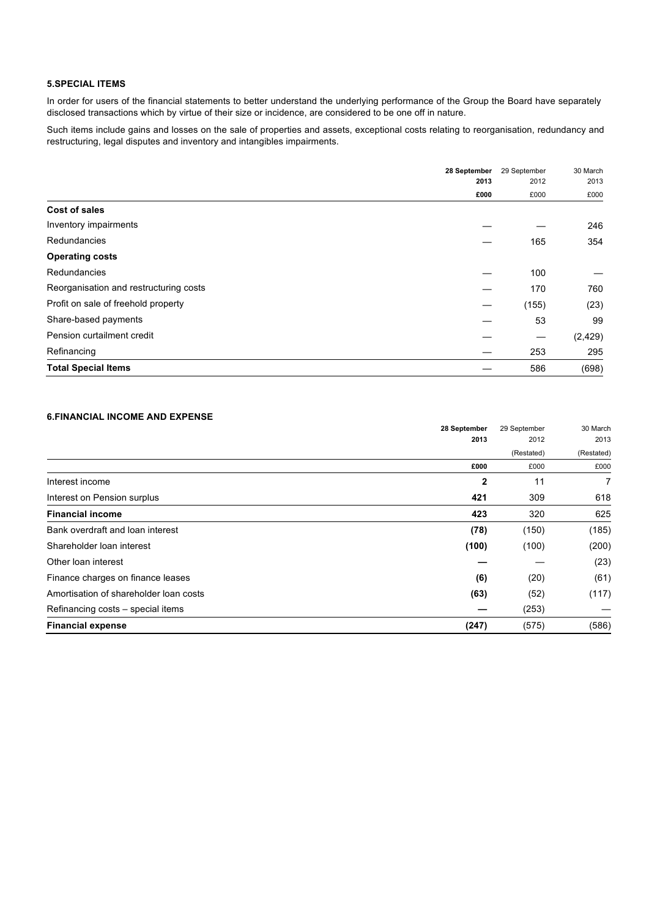# **5.SPECIAL ITEMS**

In order for users of the financial statements to better understand the underlying performance of the Group the Board have separately disclosed transactions which by virtue of their size or incidence, are considered to be one off in nature.

Such items include gains and losses on the sale of properties and assets, exceptional costs relating to reorganisation, redundancy and restructuring, legal disputes and inventory and intangibles impairments.

|                                        | 28 September<br>2013<br>£000 | 29 September<br>2012<br>£000 | 30 March<br>2013<br>£000 |
|----------------------------------------|------------------------------|------------------------------|--------------------------|
|                                        |                              |                              |                          |
|                                        |                              |                              |                          |
| <b>Cost of sales</b>                   |                              |                              |                          |
| Inventory impairments                  |                              |                              | 246                      |
| Redundancies                           |                              | 165                          | 354                      |
| <b>Operating costs</b>                 |                              |                              |                          |
| Redundancies                           |                              | 100                          |                          |
| Reorganisation and restructuring costs |                              | 170                          | 760                      |
| Profit on sale of freehold property    |                              | (155)                        | (23)                     |
| Share-based payments                   |                              | 53                           | 99                       |
| Pension curtailment credit             |                              |                              | (2, 429)                 |
| Refinancing                            |                              | 253                          | 295                      |
| <b>Total Special Items</b>             |                              | 586                          | (698)                    |

### **6.FINANCIAL INCOME AND EXPENSE**

|                                        | 28 September | 29 September | 30 March   |
|----------------------------------------|--------------|--------------|------------|
|                                        | 2013         | 2012         | 2013       |
|                                        |              | (Restated)   | (Restated) |
|                                        | £000         | £000         | £000       |
| Interest income                        | $\mathbf{2}$ | 11           | 7          |
| Interest on Pension surplus            | 421          | 309          | 618        |
| <b>Financial income</b>                | 423          | 320          | 625        |
| Bank overdraft and loan interest       | (78)         | (150)        | (185)      |
| Shareholder Ioan interest              | (100)        | (100)        | (200)      |
| Other loan interest                    |              |              | (23)       |
| Finance charges on finance leases      | (6)          | (20)         | (61)       |
| Amortisation of shareholder loan costs | (63)         | (52)         | (117)      |
| Refinancing costs – special items      |              | (253)        |            |
| <b>Financial expense</b>               | (247)        | (575)        | (586)      |
|                                        |              |              |            |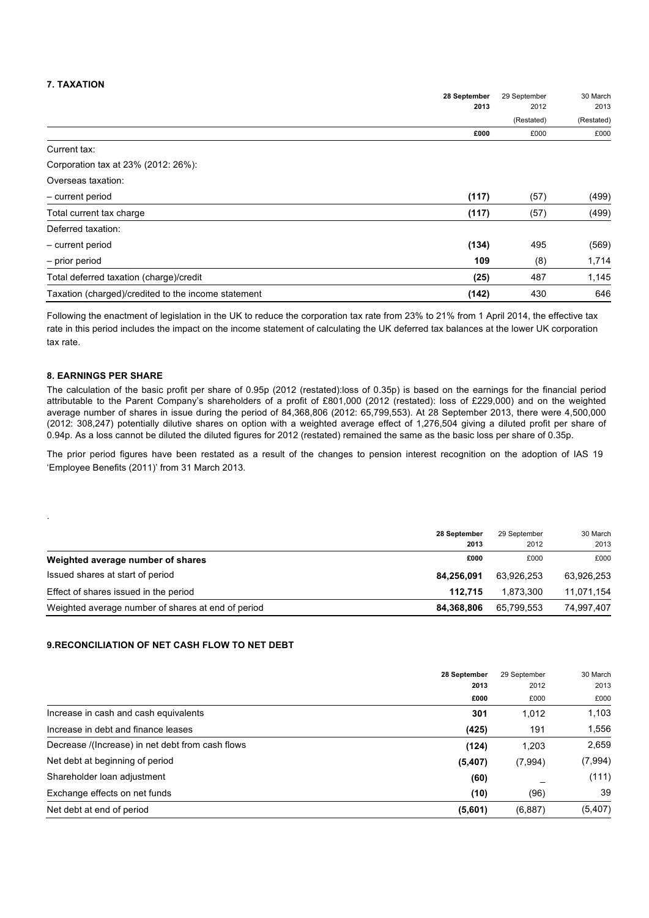# **7. TAXATION**

|                                                     | 28 September | 29 September<br>2012<br>(Restated) | 30 March<br>2013<br>(Restated) |
|-----------------------------------------------------|--------------|------------------------------------|--------------------------------|
|                                                     | 2013         |                                    |                                |
|                                                     |              |                                    |                                |
|                                                     | £000         | £000                               | £000                           |
| Current tax:                                        |              |                                    |                                |
| Corporation tax at 23% (2012: 26%):                 |              |                                    |                                |
| Overseas taxation:                                  |              |                                    |                                |
| - current period                                    | (117)        | (57)                               | (499)                          |
| Total current tax charge                            | (117)        | (57)                               | (499)                          |
| Deferred taxation:                                  |              |                                    |                                |
| - current period                                    | (134)        | 495                                | (569)                          |
| - prior period                                      | 109          | (8)                                | 1,714                          |
| Total deferred taxation (charge)/credit             | (25)         | 487                                | 1,145                          |
| Taxation (charged)/credited to the income statement | (142)        | 430                                | 646                            |

Following the enactment of legislation in the UK to reduce the corporation tax rate from 23% to 21% from 1 April 2014, the effective tax rate in this period includes the impact on the income statement of calculating the UK deferred tax balances at the lower UK corporation tax rate.

#### **8. EARNINGS PER SHARE**

.

The calculation of the basic profit per share of 0.95p (2012 (restated):loss of 0.35p) is based on the earnings for the financial period attributable to the Parent Company's shareholders of a profit of £801,000 (2012 (restated): loss of £229,000) and on the weighted average number of shares in issue during the period of 84,368,806 (2012: 65,799,553). At 28 September 2013, there were 4,500,000 (2012: 308,247) potentially dilutive shares on option with a weighted average effect of 1,276,504 giving a diluted profit per share of 0.94p. As a loss cannot be diluted the diluted figures for 2012 (restated) remained the same as the basic loss per share of 0.35p.

The prior period figures have been restated as a result of the changes to pension interest recognition on the adoption of IAS 19 'Employee Benefits (2011)' from 31 March 2013.

|                                                    | 28 September | 29 September<br>2012 | 30 March<br>2013 |
|----------------------------------------------------|--------------|----------------------|------------------|
|                                                    | 2013         |                      |                  |
| Weighted average number of shares                  | £000         | £000                 | £000             |
| Issued shares at start of period                   | 84.256.091   | 63.926.253           | 63,926,253       |
| Effect of shares issued in the period              | 112.715      | 1.873.300            | 11,071,154       |
| Weighted average number of shares at end of period | 84.368.806   | 65.799.553           | 74.997.407       |

### **9.RECONCILIATION OF NET CASH FLOW TO NET DEBT**

|                                                  | 28 September<br>2013<br>£000 | 29 September<br>2012<br>£000 | 30 March<br>2013<br>£000 |
|--------------------------------------------------|------------------------------|------------------------------|--------------------------|
|                                                  |                              |                              |                          |
|                                                  |                              |                              |                          |
| Increase in cash and cash equivalents            | 301                          | 1.012                        | 1,103                    |
| Increase in debt and finance leases              | (425)                        | 191                          | 1,556                    |
| Decrease /(Increase) in net debt from cash flows | (124)                        | 1,203                        | 2,659                    |
| Net debt at beginning of period                  | (5,407)                      | (7,994)                      | (7,994)                  |
| Shareholder Ioan adjustment                      | (60)                         |                              | (111)                    |
| Exchange effects on net funds                    | (10)                         | (96)                         | 39                       |
| Net debt at end of period                        | (5,601)                      | (6,887)                      | (5,407)                  |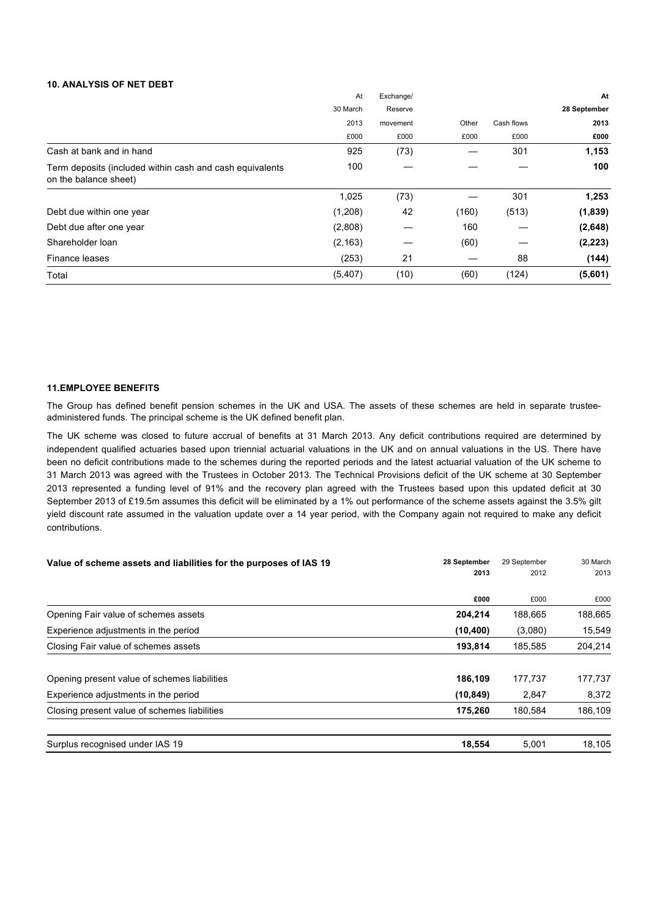### **10. ANALYSIS OF NET DEBT**

|                                                                                   | At       | Exchange/ |       |            | At           |
|-----------------------------------------------------------------------------------|----------|-----------|-------|------------|--------------|
|                                                                                   | 30 March | Reserve   |       |            | 28 September |
|                                                                                   | 2013     | movement  | Other | Cash flows | 2013         |
|                                                                                   | £000     | £000      | £000  | £000       | £000         |
| Cash at bank and in hand                                                          | 925      | (73)      |       | 301        | 1,153        |
| Term deposits (included within cash and cash equivalents<br>on the balance sheet) | 100      |           |       |            | 100          |
|                                                                                   | 1,025    | (73)      |       | 301        | 1,253        |
| Debt due within one year                                                          | (1,208)  | 42        | (160) | (513)      | (1,839)      |
| Debt due after one year                                                           | (2,808)  |           | 160   |            | (2,648)      |
| Shareholder loan                                                                  | (2, 163) |           | (60)  |            | (2, 223)     |
| Finance leases                                                                    | (253)    | 21        |       | 88         | (144)        |
| Total                                                                             | (5, 407) | (10)      | (60)  | (124)      | (5,601)      |

### **11.EMPLOYEE BENEFITS**

The Group has defined benefit pension schemes in the UK and USA. The assets of these schemes are held in separate trusteeadministered funds. The principal scheme is the UK defined benefit plan.

The UK scheme was closed to future accrual of benefits at 31 March 2013. Any deficit contributions required are determined by independent qualified actuaries based upon triennial actuarial valuations in the UK and on annual valuations in the US. There have been no deficit contributions made to the schemes during the reported periods and the latest actuarial valuation of the UK scheme to 31 March 2013 was agreed with the Trustees in October 2013. The Technical Provisions deficit of the UK scheme at 30 September 2013 represented a funding level of 91% and the recovery plan agreed with the Trustees based upon this updated deficit at 30 September 2013 of £19.5m assumes this deficit will be eliminated by a 1% out performance of the scheme assets against the 3.5% gilt yield discount rate assumed in the valuation update over a 14 year period, with the Company again not required to make any deficit contributions.

| 28 September<br>Value of scheme assets and liabilities for the purposes of IAS 19 |           | 29 September | 30 March |
|-----------------------------------------------------------------------------------|-----------|--------------|----------|
|                                                                                   | 2013      | 2012         | 2013     |
|                                                                                   | £000      | £000         | £000     |
| Opening Fair value of schemes assets                                              | 204,214   | 188,665      | 188,665  |
| Experience adjustments in the period                                              | (10, 400) | (3,080)      | 15,549   |
| Closing Fair value of schemes assets                                              | 193,814   | 185.585      | 204,214  |
| Opening present value of schemes liabilities                                      | 186,109   | 177,737      | 177,737  |
| Experience adjustments in the period                                              | (10, 849) | 2,847        | 8,372    |
| Closing present value of schemes liabilities                                      | 175,260   | 180,584      | 186,109  |
| Surplus recognised under IAS 19                                                   | 18,554    | 5,001        | 18,105   |